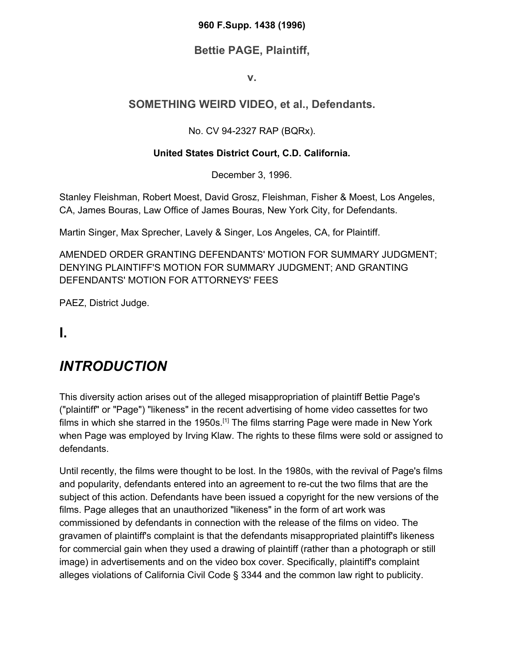#### **960 F.Supp. 1438 (1996)**

#### **Bettie PAGE, Plaintiff,**

#### **v.**

### **SOMETHING WEIRD VIDEO, et al., Defendants.**

#### No. CV 94-2327 RAP (BQRx).

#### **United States District Court, C.D. California.**

December 3, 1996.

Stanley Fleishman, Robert Moest, David Grosz, Fleishman, Fisher & Moest, Los Angeles, CA, James Bouras, Law Office of James Bouras, New York City, for Defendants.

Martin Singer, Max Sprecher, Lavely & Singer, Los Angeles, CA, for Plaintiff.

AMENDED ORDER GRANTING DEFENDANTS' MOTION FOR SUMMARY JUDGMENT; DENYING PLAINTIFF'S MOTION FOR SUMMARY JUDGMENT; AND GRANTING DEFENDANTS' MOTION FOR ATTORNEYS' FEES

PAEZ, District Judge.

**I.**

## *INTRODUCTION*

This diversity action arises out of the alleged misappropriation of plaintiff Bettie Page's ("plaintiff" or "Page") "likeness" in the recent advertising of home video cassettes for two films in which she starred in the 1950s.<sup>[1]</sup> The films starring Page were made in New York when Page was employed by Irving Klaw. The rights to these films were sold or assigned to defendants.

Until recently, the films were thought to be lost. In the 1980s, with the revival of Page's films and popularity, defendants entered into an agreement to re-cut the two films that are the subject of this action. Defendants have been issued a copyright for the new versions of the films. Page alleges that an unauthorized "likeness" in the form of art work was commissioned by defendants in connection with the release of the films on video. The gravamen of plaintiff's complaint is that the defendants misappropriated plaintiff's likeness for commercial gain when they used a drawing of plaintiff (rather than a photograph or still image) in advertisements and on the video box cover. Specifically, plaintiff's complaint alleges violations of California Civil Code § 3344 and the common law right to publicity.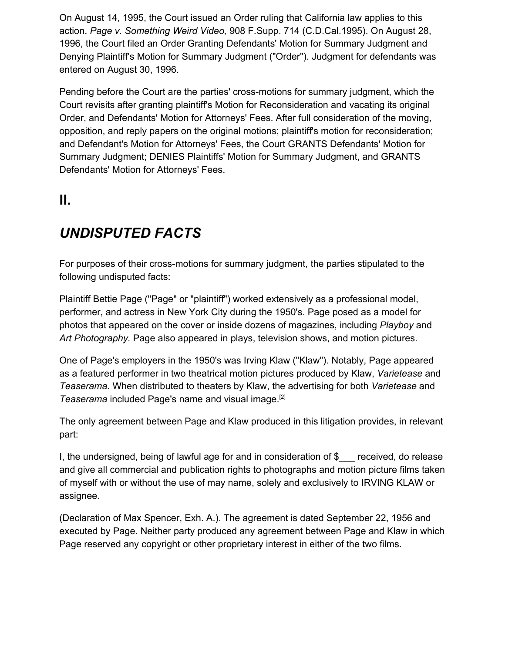On August 14, 1995, the Court issued an Order ruling that California law applies to this action. *Page v. Something Weird Video,* 908 F.Supp. 714 (C.D.Cal.1995). On August 28, 1996, the Court filed an Order Granting Defendants' Motion for Summary Judgment and Denying Plaintiff's Motion for Summary Judgment ("Order"). Judgment for defendants was entered on August 30, 1996.

Pending before the Court are the parties' cross-motions for summary judgment, which the Court revisits after granting plaintiff's Motion for Reconsideration and vacating its original Order, and Defendants' Motion for Attorneys' Fees. After full consideration of the moving, opposition, and reply papers on the original motions; plaintiff's motion for reconsideration; and Defendant's Motion for Attorneys' Fees, the Court GRANTS Defendants' Motion for Summary Judgment; DENIES Plaintiffs' Motion for Summary Judgment, and GRANTS Defendants' Motion for Attorneys' Fees.

### **II.**

### *UNDISPUTED FACTS*

For purposes of their cross-motions for summary judgment, the parties stipulated to the following undisputed facts:

Plaintiff Bettie Page ("Page" or "plaintiff") worked extensively as a professional model, performer, and actress in New York City during the 1950's. Page posed as a model for photos that appeared on the cover or inside dozens of magazines, including *Playboy* and *Art Photography.* Page also appeared in plays, television shows, and motion pictures.

One of Page's employers in the 1950's was Irving Klaw ("Klaw"). Notably, Page appeared as a featured performer in two theatrical motion pictures produced by Klaw, *Varietease* and *Teaserama.* When distributed to theaters by Klaw, the advertising for both *Varietease* and *Teaserama* included Page's name and visual image.[2]

The only agreement between Page and Klaw produced in this litigation provides, in relevant part:

I, the undersigned, being of lawful age for and in consideration of \$ received, do release and give all commercial and publication rights to photographs and motion picture films taken of myself with or without the use of may name, solely and exclusively to IRVING KLAW or assignee.

(Declaration of Max Spencer, Exh. A.). The agreement is dated September 22, 1956 and executed by Page. Neither party produced any agreement between Page and Klaw in which Page reserved any copyright or other proprietary interest in either of the two films.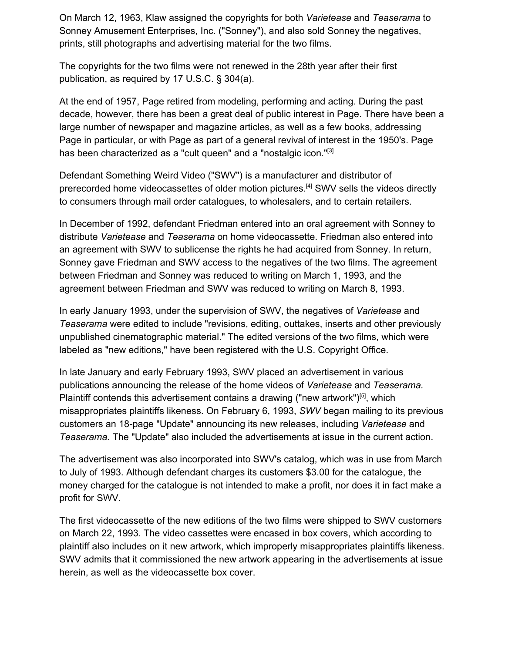On March 12, 1963, Klaw assigned the copyrights for both *Varietease* and *Teaserama* to Sonney Amusement Enterprises, Inc. ("Sonney"), and also sold Sonney the negatives, prints, still photographs and advertising material for the two films.

The copyrights for the two films were not renewed in the 28th year after their first publication, as required by 17 U.S.C. § 304(a).

At the end of 1957, Page retired from modeling, performing and acting. During the past decade, however, there has been a great deal of public interest in Page. There have been a large number of newspaper and magazine articles, as well as a few books, addressing Page in particular, or with Page as part of a general revival of interest in the 1950's. Page has been characterized as a "cult queen" and a "nostalgic icon."<sup>[3]</sup>

Defendant Something Weird Video ("SWV") is a manufacturer and distributor of prerecorded home videocassettes of older motion pictures.[4] SWV sells the videos directly to consumers through mail order catalogues, to wholesalers, and to certain retailers.

In December of 1992, defendant Friedman entered into an oral agreement with Sonney to distribute *Varietease* and *Teaserama* on home videocassette. Friedman also entered into an agreement with SWV to sublicense the rights he had acquired from Sonney. In return, Sonney gave Friedman and SWV access to the negatives of the two films. The agreement between Friedman and Sonney was reduced to writing on March 1, 1993, and the agreement between Friedman and SWV was reduced to writing on March 8, 1993.

In early January 1993, under the supervision of SWV, the negatives of *Varietease* and *Teaserama* were edited to include "revisions, editing, outtakes, inserts and other previously unpublished cinematographic material." The edited versions of the two films, which were labeled as "new editions," have been registered with the U.S. Copyright Office.

In late January and early February 1993, SWV placed an advertisement in various publications announcing the release of the home videos of *Varietease* and *Teaserama.* Plaintiff contends this advertisement contains a drawing ("new artwork")<sup>[5]</sup>, which misappropriates plaintiffs likeness. On February 6, 1993, *SWV* began mailing to its previous customers an 18-page "Update" announcing its new releases, including *Varietease* and *Teaserama.* The "Update" also included the advertisements at issue in the current action.

The advertisement was also incorporated into SWV's catalog, which was in use from March to July of 1993. Although defendant charges its customers \$3.00 for the catalogue, the money charged for the catalogue is not intended to make a profit, nor does it in fact make a profit for SWV.

The first videocassette of the new editions of the two films were shipped to SWV customers on March 22, 1993. The video cassettes were encased in box covers, which according to plaintiff also includes on it new artwork, which improperly misappropriates plaintiffs likeness. SWV admits that it commissioned the new artwork appearing in the advertisements at issue herein, as well as the videocassette box cover.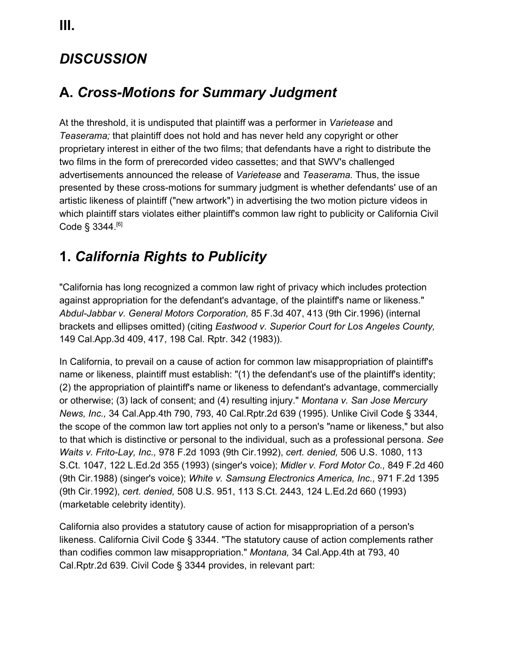## *DISCUSSION*

## **A.** *Cross-Motions for Summary Judgment*

At the threshold, it is undisputed that plaintiff was a performer in *Varietease* and *Teaserama;* that plaintiff does not hold and has never held any copyright or other proprietary interest in either of the two films; that defendants have a right to distribute the two films in the form of prerecorded video cassettes; and that SWV's challenged advertisements announced the release of *Varietease* and *Teaserama.* Thus, the issue presented by these cross-motions for summary judgment is whether defendants' use of an artistic likeness of plaintiff ("new artwork") in advertising the two motion picture videos in which plaintiff stars violates either plaintiff's common law right to publicity or California Civil Code § 3344.<sup>[6]</sup>

## **1.** *California Rights to Publicity*

"California has long recognized a common law right of privacy which includes protection against appropriation for the defendant's advantage, of the plaintiff's name or likeness." *Abdul-Jabbar v. General Motors Corporation,* 85 F.3d 407, 413 (9th Cir.1996) (internal brackets and ellipses omitted) (citing *Eastwood v. Superior Court for Los Angeles County,* 149 Cal.App.3d 409, 417, 198 Cal. Rptr. 342 (1983)).

In California, to prevail on a cause of action for common law misappropriation of plaintiff's name or likeness, plaintiff must establish: "(1) the defendant's use of the plaintiff's identity; (2) the appropriation of plaintiff's name or likeness to defendant's advantage, commercially or otherwise; (3) lack of consent; and (4) resulting injury." *Montana v. San Jose Mercury News, Inc.,* 34 Cal.App.4th 790, 793, 40 Cal.Rptr.2d 639 (1995). Unlike Civil Code § 3344, the scope of the common law tort applies not only to a person's "name or likeness," but also to that which is distinctive or personal to the individual, such as a professional persona. *See Waits v. Frito-Lay, Inc.,* 978 F.2d 1093 (9th Cir.1992), *cert. denied,* 506 U.S. 1080, 113 S.Ct. 1047, 122 L.Ed.2d 355 (1993) (singer's voice); *Midler v. Ford Motor Co.,* 849 F.2d 460 (9th Cir.1988) (singer's voice); *White v. Samsung Electronics America, Inc.,* 971 F.2d 1395 (9th Cir.1992), *cert. denied,* 508 U.S. 951, 113 S.Ct. 2443, 124 L.Ed.2d 660 (1993) (marketable celebrity identity).

California also provides a statutory cause of action for misappropriation of a person's likeness. California Civil Code § 3344. "The statutory cause of action complements rather than codifies common law misappropriation." *Montana,* 34 Cal.App.4th at 793, 40 Cal.Rptr.2d 639. Civil Code § 3344 provides, in relevant part: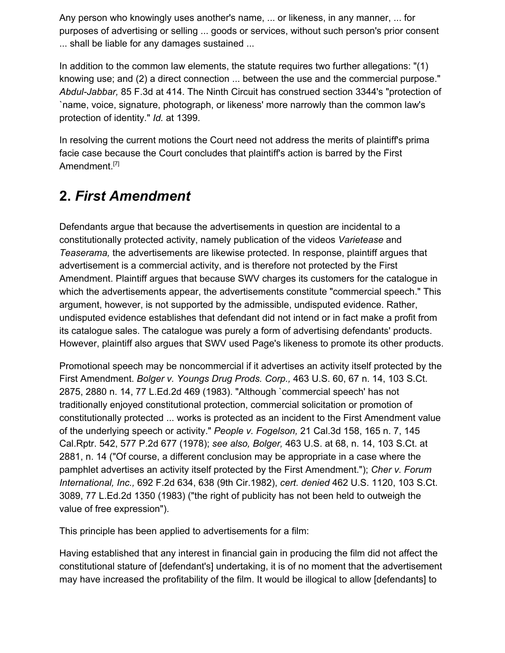Any person who knowingly uses another's name, ... or likeness, in any manner, ... for purposes of advertising or selling ... goods or services, without such person's prior consent ... shall be liable for any damages sustained ...

In addition to the common law elements, the statute requires two further allegations: "(1) knowing use; and (2) a direct connection ... between the use and the commercial purpose." *Abdul-Jabbar,* 85 F.3d at 414. The Ninth Circuit has construed section 3344's "protection of `name, voice, signature, photograph, or likeness' more narrowly than the common law's protection of identity." *Id.* at 1399.

In resolving the current motions the Court need not address the merits of plaintiff's prima facie case because the Court concludes that plaintiff's action is barred by the First Amendment.<sup>[7]</sup>

## **2.** *First Amendment*

Defendants argue that because the advertisements in question are incidental to a constitutionally protected activity, namely publication of the videos *Varietease* and *Teaserama,* the advertisements are likewise protected. In response, plaintiff argues that advertisement is a commercial activity, and is therefore not protected by the First Amendment. Plaintiff argues that because SWV charges its customers for the catalogue in which the advertisements appear, the advertisements constitute "commercial speech." This argument, however, is not supported by the admissible, undisputed evidence. Rather, undisputed evidence establishes that defendant did not intend or in fact make a profit from its catalogue sales. The catalogue was purely a form of advertising defendants' products. However, plaintiff also argues that SWV used Page's likeness to promote its other products.

Promotional speech may be noncommercial if it advertises an activity itself protected by the First Amendment. *Bolger v. Youngs Drug Prods. Corp.,* 463 U.S. 60, 67 n. 14, 103 S.Ct. 2875, 2880 n. 14, 77 L.Ed.2d 469 (1983). "Although `commercial speech' has not traditionally enjoyed constitutional protection, commercial solicitation or promotion of constitutionally protected ... works is protected as an incident to the First Amendment value of the underlying speech or activity." *People v. Fogelson,* 21 Cal.3d 158, 165 n. 7, 145 Cal.Rptr. 542, 577 P.2d 677 (1978); *see also, Bolger,* 463 U.S. at 68, n. 14, 103 S.Ct. at 2881, n. 14 ("Of course, a different conclusion may be appropriate in a case where the pamphlet advertises an activity itself protected by the First Amendment."); *Cher v. Forum International, Inc.,* 692 F.2d 634, 638 (9th Cir.1982), *cert. denied* 462 U.S. 1120, 103 S.Ct. 3089, 77 L.Ed.2d 1350 (1983) ("the right of publicity has not been held to outweigh the value of free expression").

This principle has been applied to advertisements for a film:

Having established that any interest in financial gain in producing the film did not affect the constitutional stature of [defendant's] undertaking, it is of no moment that the advertisement may have increased the profitability of the film. It would be illogical to allow [defendants] to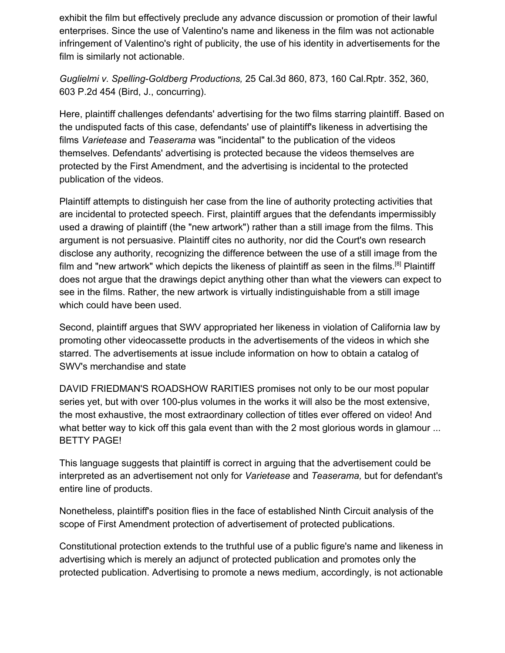exhibit the film but effectively preclude any advance discussion or promotion of their lawful enterprises. Since the use of Valentino's name and likeness in the film was not actionable infringement of Valentino's right of publicity, the use of his identity in advertisements for the film is similarly not actionable.

*Guglielmi v. Spelling-Goldberg Productions,* 25 Cal.3d 860, 873, 160 Cal.Rptr. 352, 360, 603 P.2d 454 (Bird, J., concurring).

Here, plaintiff challenges defendants' advertising for the two films starring plaintiff. Based on the undisputed facts of this case, defendants' use of plaintiff's likeness in advertising the films *Varietease* and *Teaserama* was "incidental" to the publication of the videos themselves. Defendants' advertising is protected because the videos themselves are protected by the First Amendment, and the advertising is incidental to the protected publication of the videos.

Plaintiff attempts to distinguish her case from the line of authority protecting activities that are incidental to protected speech. First, plaintiff argues that the defendants impermissibly used a drawing of plaintiff (the "new artwork") rather than a still image from the films. This argument is not persuasive. Plaintiff cites no authority, nor did the Court's own research disclose any authority, recognizing the difference between the use of a still image from the film and "new artwork" which depicts the likeness of plaintiff as seen in the films.[8] Plaintiff does not argue that the drawings depict anything other than what the viewers can expect to see in the films. Rather, the new artwork is virtually indistinguishable from a still image which could have been used.

Second, plaintiff argues that SWV appropriated her likeness in violation of California law by promoting other videocassette products in the advertisements of the videos in which she starred. The advertisements at issue include information on how to obtain a catalog of SWV's merchandise and state

DAVID FRIEDMAN'S ROADSHOW RARITIES promises not only to be our most popular series yet, but with over 100-plus volumes in the works it will also be the most extensive, the most exhaustive, the most extraordinary collection of titles ever offered on video! And what better way to kick off this gala event than with the 2 most glorious words in glamour ... BETTY PAGE!

This language suggests that plaintiff is correct in arguing that the advertisement could be interpreted as an advertisement not only for *Varietease* and *Teaserama,* but for defendant's entire line of products.

Nonetheless, plaintiff's position flies in the face of established Ninth Circuit analysis of the scope of First Amendment protection of advertisement of protected publications.

Constitutional protection extends to the truthful use of a public figure's name and likeness in advertising which is merely an adjunct of protected publication and promotes only the protected publication. Advertising to promote a news medium, accordingly, is not actionable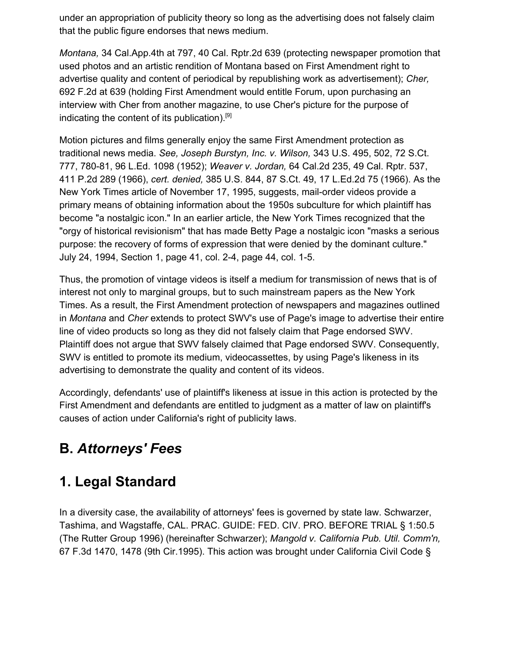under an appropriation of publicity theory so long as the advertising does not falsely claim that the public figure endorses that news medium.

*Montana,* 34 Cal.App.4th at 797, 40 Cal. Rptr.2d 639 (protecting newspaper promotion that used photos and an artistic rendition of Montana based on First Amendment right to advertise quality and content of periodical by republishing work as advertisement); *Cher,* 692 F.2d at 639 (holding First Amendment would entitle Forum, upon purchasing an interview with Cher from another magazine, to use Cher's picture for the purpose of indicating the content of its publication).<sup>[9]</sup>

Motion pictures and films generally enjoy the same First Amendment protection as traditional news media. *See, Joseph Burstyn, Inc. v. Wilson,* 343 U.S. 495, 502, 72 S.Ct. 777, 780-81, 96 L.Ed. 1098 (1952); *Weaver v. Jordan,* 64 Cal.2d 235, 49 Cal. Rptr. 537, 411 P.2d 289 (1966), *cert. denied,* 385 U.S. 844, 87 S.Ct. 49, 17 L.Ed.2d 75 (1966). As the New York Times article of November 17, 1995, suggests, mail-order videos provide a primary means of obtaining information about the 1950s subculture for which plaintiff has become "a nostalgic icon." In an earlier article, the New York Times recognized that the "orgy of historical revisionism" that has made Betty Page a nostalgic icon "masks a serious purpose: the recovery of forms of expression that were denied by the dominant culture." July 24, 1994, Section 1, page 41, col. 2-4, page 44, col. 1-5.

Thus, the promotion of vintage videos is itself a medium for transmission of news that is of interest not only to marginal groups, but to such mainstream papers as the New York Times. As a result, the First Amendment protection of newspapers and magazines outlined in *Montana* and *Cher* extends to protect SWV's use of Page's image to advertise their entire line of video products so long as they did not falsely claim that Page endorsed SWV. Plaintiff does not argue that SWV falsely claimed that Page endorsed SWV. Consequently, SWV is entitled to promote its medium, videocassettes, by using Page's likeness in its advertising to demonstrate the quality and content of its videos.

Accordingly, defendants' use of plaintiff's likeness at issue in this action is protected by the First Amendment and defendants are entitled to judgment as a matter of law on plaintiff's causes of action under California's right of publicity laws.

# **B.** *Attorneys' Fees*

## **1. Legal Standard**

In a diversity case, the availability of attorneys' fees is governed by state law. Schwarzer, Tashima, and Wagstaffe, CAL. PRAC. GUIDE: FED. CIV. PRO. BEFORE TRIAL § 1:50.5 (The Rutter Group 1996) (hereinafter Schwarzer); *Mangold v. California Pub. Util. Comm'n,* 67 F.3d 1470, 1478 (9th Cir.1995). This action was brought under California Civil Code §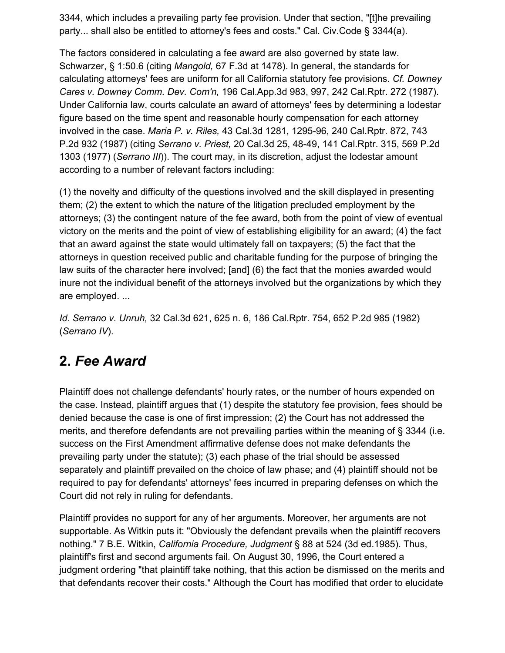3344, which includes a prevailing party fee provision. Under that section, "[t]he prevailing party... shall also be entitled to attorney's fees and costs." Cal. Civ.Code § 3344(a).

The factors considered in calculating a fee award are also governed by state law. Schwarzer, § 1:50.6 (citing *Mangold,* 67 F.3d at 1478). In general, the standards for calculating attorneys' fees are uniform for all California statutory fee provisions. *Cf. Downey Cares v. Downey Comm. Dev. Com'n,* 196 Cal.App.3d 983, 997, 242 Cal.Rptr. 272 (1987). Under California law, courts calculate an award of attorneys' fees by determining a lodestar figure based on the time spent and reasonable hourly compensation for each attorney involved in the case. *Maria P. v. Riles,* 43 Cal.3d 1281, 1295-96, 240 Cal.Rptr. 872, 743 P.2d 932 (1987) (citing *Serrano v. Priest,* 20 Cal.3d 25, 48-49, 141 Cal.Rptr. 315, 569 P.2d 1303 (1977) (*Serrano III*)). The court may, in its discretion, adjust the lodestar amount according to a number of relevant factors including:

(1) the novelty and difficulty of the questions involved and the skill displayed in presenting them; (2) the extent to which the nature of the litigation precluded employment by the attorneys; (3) the contingent nature of the fee award, both from the point of view of eventual victory on the merits and the point of view of establishing eligibility for an award; (4) the fact that an award against the state would ultimately fall on taxpayers; (5) the fact that the attorneys in question received public and charitable funding for the purpose of bringing the law suits of the character here involved; [and] (6) the fact that the monies awarded would inure not the individual benefit of the attorneys involved but the organizations by which they are employed. ...

*Id. Serrano v. Unruh,* 32 Cal.3d 621, 625 n. 6, 186 Cal.Rptr. 754, 652 P.2d 985 (1982) (*Serrano IV*).

## **2.** *Fee Award*

Plaintiff does not challenge defendants' hourly rates, or the number of hours expended on the case. Instead, plaintiff argues that (1) despite the statutory fee provision, fees should be denied because the case is one of first impression; (2) the Court has not addressed the merits, and therefore defendants are not prevailing parties within the meaning of § 3344 (i.e. success on the First Amendment affirmative defense does not make defendants the prevailing party under the statute); (3) each phase of the trial should be assessed separately and plaintiff prevailed on the choice of law phase; and (4) plaintiff should not be required to pay for defendants' attorneys' fees incurred in preparing defenses on which the Court did not rely in ruling for defendants.

Plaintiff provides no support for any of her arguments. Moreover, her arguments are not supportable. As Witkin puts it: "Obviously the defendant prevails when the plaintiff recovers nothing." 7 B.E. Witkin, *California Procedure, Judgment* § 88 at 524 (3d ed.1985). Thus, plaintiff's first and second arguments fail. On August 30, 1996, the Court entered a judgment ordering "that plaintiff take nothing, that this action be dismissed on the merits and that defendants recover their costs." Although the Court has modified that order to elucidate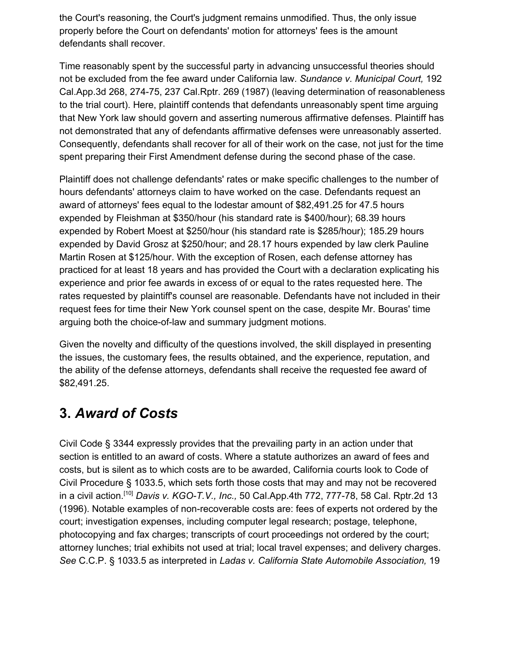the Court's reasoning, the Court's judgment remains unmodified. Thus, the only issue properly before the Court on defendants' motion for attorneys' fees is the amount defendants shall recover.

Time reasonably spent by the successful party in advancing unsuccessful theories should not be excluded from the fee award under California law. *Sundance v. Municipal Court,* 192 Cal.App.3d 268, 274-75, 237 Cal.Rptr. 269 (1987) (leaving determination of reasonableness to the trial court). Here, plaintiff contends that defendants unreasonably spent time arguing that New York law should govern and asserting numerous affirmative defenses. Plaintiff has not demonstrated that any of defendants affirmative defenses were unreasonably asserted. Consequently, defendants shall recover for all of their work on the case, not just for the time spent preparing their First Amendment defense during the second phase of the case.

Plaintiff does not challenge defendants' rates or make specific challenges to the number of hours defendants' attorneys claim to have worked on the case. Defendants request an award of attorneys' fees equal to the lodestar amount of \$82,491.25 for 47.5 hours expended by Fleishman at \$350/hour (his standard rate is \$400/hour); 68.39 hours expended by Robert Moest at \$250/hour (his standard rate is \$285/hour); 185.29 hours expended by David Grosz at \$250/hour; and 28.17 hours expended by law clerk Pauline Martin Rosen at \$125/hour. With the exception of Rosen, each defense attorney has practiced for at least 18 years and has provided the Court with a declaration explicating his experience and prior fee awards in excess of or equal to the rates requested here. The rates requested by plaintiff's counsel are reasonable. Defendants have not included in their request fees for time their New York counsel spent on the case, despite Mr. Bouras' time arguing both the choice-of-law and summary judgment motions.

Given the novelty and difficulty of the questions involved, the skill displayed in presenting the issues, the customary fees, the results obtained, and the experience, reputation, and the ability of the defense attorneys, defendants shall receive the requested fee award of \$82,491.25.

## **3.** *Award of Costs*

Civil Code § 3344 expressly provides that the prevailing party in an action under that section is entitled to an award of costs. Where a statute authorizes an award of fees and costs, but is silent as to which costs are to be awarded, California courts look to Code of Civil Procedure § 1033.5, which sets forth those costs that may and may not be recovered in a civil action.[10] *Davis v. KGO-T.V., Inc.,* 50 Cal.App.4th 772, 777-78, 58 Cal. Rptr.2d 13 (1996). Notable examples of non-recoverable costs are: fees of experts not ordered by the court; investigation expenses, including computer legal research; postage, telephone, photocopying and fax charges; transcripts of court proceedings not ordered by the court; attorney lunches; trial exhibits not used at trial; local travel expenses; and delivery charges. *See* C.C.P. § 1033.5 as interpreted in *Ladas v. California State Automobile Association,* 19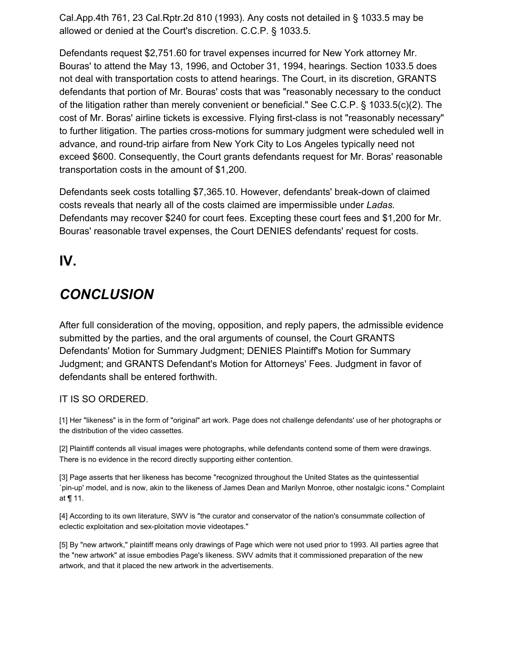Cal.App.4th 761, 23 Cal.Rptr.2d 810 (1993). Any costs not detailed in § 1033.5 may be allowed or denied at the Court's discretion. C.C.P. § 1033.5.

Defendants request \$2,751.60 for travel expenses incurred for New York attorney Mr. Bouras' to attend the May 13, 1996, and October 31, 1994, hearings. Section 1033.5 does not deal with transportation costs to attend hearings. The Court, in its discretion, GRANTS defendants that portion of Mr. Bouras' costs that was "reasonably necessary to the conduct of the litigation rather than merely convenient or beneficial." See C.C.P. § 1033.5(c)(2). The cost of Mr. Boras' airline tickets is excessive. Flying first-class is not "reasonably necessary" to further litigation. The parties cross-motions for summary judgment were scheduled well in advance, and round-trip airfare from New York City to Los Angeles typically need not exceed \$600. Consequently, the Court grants defendants request for Mr. Boras' reasonable transportation costs in the amount of \$1,200.

Defendants seek costs totalling \$7,365.10. However, defendants' break-down of claimed costs reveals that nearly all of the costs claimed are impermissible under *Ladas.* Defendants may recover \$240 for court fees. Excepting these court fees and \$1,200 for Mr. Bouras' reasonable travel expenses, the Court DENIES defendants' request for costs.

### **IV.**

## *CONCLUSION*

After full consideration of the moving, opposition, and reply papers, the admissible evidence submitted by the parties, and the oral arguments of counsel, the Court GRANTS Defendants' Motion for Summary Judgment; DENIES Plaintiff's Motion for Summary Judgment; and GRANTS Defendant's Motion for Attorneys' Fees. Judgment in favor of defendants shall be entered forthwith.

#### IT IS SO ORDERED.

[1] Her "likeness" is in the form of "original" art work. Page does not challenge defendants' use of her photographs or the distribution of the video cassettes.

[2] Plaintiff contends all visual images were photographs, while defendants contend some of them were drawings. There is no evidence in the record directly supporting either contention.

[3] Page asserts that her likeness has become "recognized throughout the United States as the quintessential `pin-up' model, and is now, akin to the likeness of James Dean and Marilyn Monroe, other nostalgic icons." Complaint at ¶ 11.

[4] According to its own literature, SWV is "the curator and conservator of the nation's consummate collection of eclectic exploitation and sex-ploitation movie videotapes."

[5] By "new artwork," plaintiff means only drawings of Page which were not used prior to 1993. All parties agree that the "new artwork" at issue embodies Page's likeness. SWV admits that it commissioned preparation of the new artwork, and that it placed the new artwork in the advertisements.